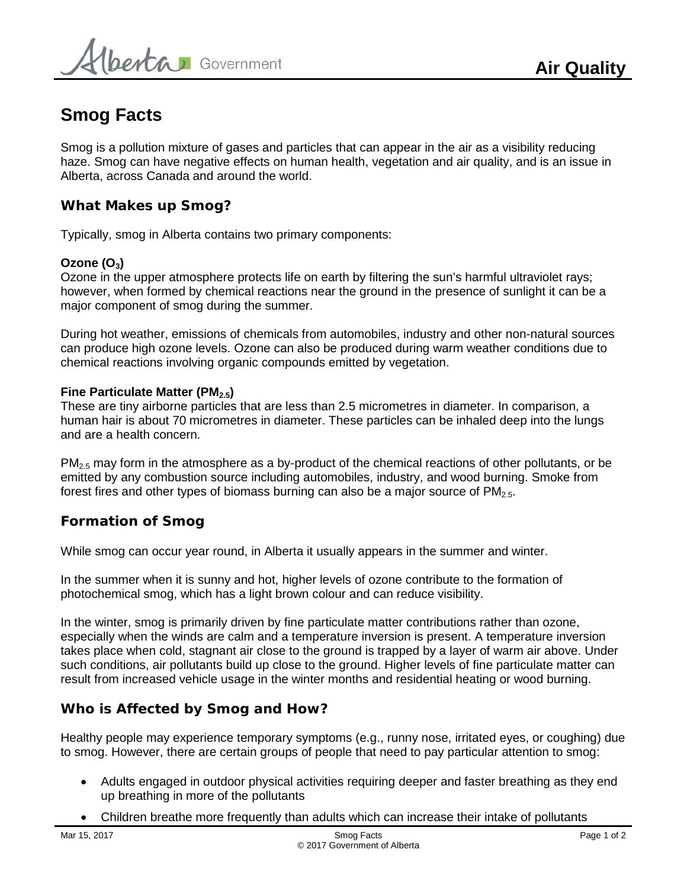# **Smog Facts**

Smog is a pollution mixture of gases and particles that can appear in the air as a visibility reducing haze. Smog can have negative effects on human health, vegetation and air quality, and is an issue in Alberta, across Canada and around the world.

## **What Makes up Smog?**

Typically, smog in Alberta contains two primary components:

## **Ozone (O<sub>3</sub>)**

Ozone in the upper atmosphere protects life on earth by filtering the sun's harmful ultraviolet rays; however, when formed by chemical reactions near the ground in the presence of sunlight it can be a major component of smog during the summer.

During hot weather, emissions of chemicals from automobiles, industry and other non-natural sources can produce high ozone levels. Ozone can also be produced during warm weather conditions due to chemical reactions involving organic compounds emitted by vegetation.

## **Fine Particulate Matter (PM<sub>2.5</sub>)**

These are tiny airborne particles that are less than 2.5 micrometres in diameter. In comparison, a human hair is about 70 micrometres in diameter. These particles can be inhaled deep into the lungs and are a health concern.

 $PM<sub>2.5</sub>$  may form in the atmosphere as a by-product of the chemical reactions of other pollutants, or be emitted by any combustion source including automobiles, industry, and wood burning. Smoke from forest fires and other types of biomass burning can also be a major source of  $PM_{2.5}$ .

## **Formation of Smog**

While smog can occur year round, in Alberta it usually appears in the summer and winter.

In the summer when it is sunny and hot, higher levels of ozone contribute to the formation of photochemical smog, which has a light brown colour and can reduce visibility.

In the winter, smog is primarily driven by fine particulate matter contributions rather than ozone, especially when the winds are calm and a temperature inversion is present. A temperature inversion takes place when cold, stagnant air close to the ground is trapped by a layer of warm air above. Under such conditions, air pollutants build up close to the ground. Higher levels of fine particulate matter can result from increased vehicle usage in the winter months and residential heating or wood burning.

## **Who is Affected by Smog and How?**

Healthy people may experience temporary symptoms (e.g., runny nose, irritated eyes, or coughing) due to smog. However, there are certain groups of people that need to pay particular attention to smog:

- Adults engaged in outdoor physical activities requiring deeper and faster breathing as they end up breathing in more of the pollutants
- Children breathe more frequently than adults which can increase their intake of pollutants